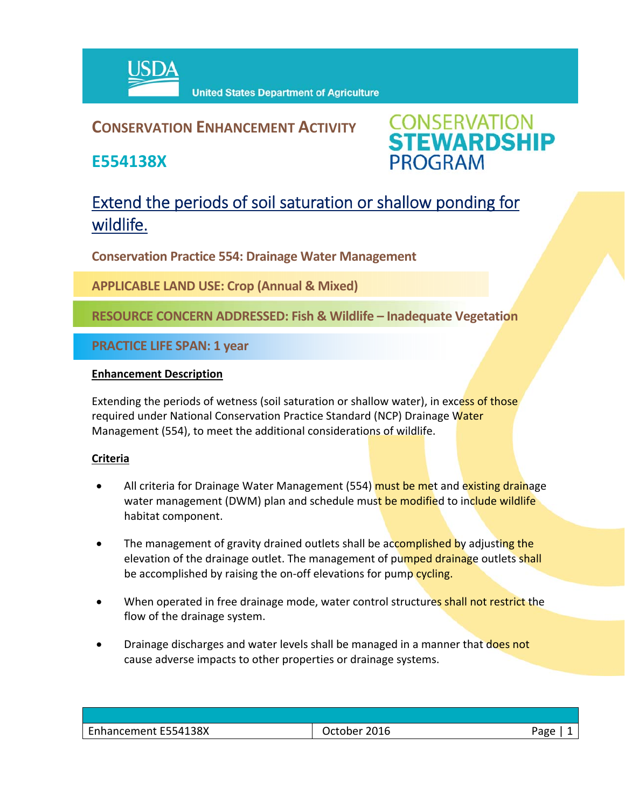

### **CONSERVATION ENHANCEMENT ACTIVITY**

**E554138X**



## Extend the periods of soil saturation or shallow ponding for wildlife.

**Conservation Practice 554: Drainage Water Management** 

**APPLICABLE LAND USE: Crop (Annual & Mixed)**

**RESOURCE CONCERN ADDRESSED: Fish & Wildlife – Inadequate Vegetation**

**PRACTICE LIFE SPAN: 1 year**

#### **Enhancement Description**

Extending the periods of wetness (soil saturation or shallow water), in excess of those required under National Conservation Practice Standard (NCP) Drainage Water Management (554), to meet the additional considerations of wildlife.

#### **Criteria**

- All criteria for Drainage Water Management (554) must be met and existing drainage water management (DWM) plan and schedule must be modified to include wildlife habitat component.
- The management of gravity drained outlets shall be accomplished by adjusting the elevation of the drainage outlet. The management of pumped drainage outlets shall be accomplished by raising the on-off elevations for pump cycling.
- When operated in free drainage mode, water control structures shall not restrict the flow of the drainage system.
- Drainage discharges and water levels shall be managed in a manner that does not cause adverse impacts to other properties or drainage systems.

| E554138X<br>$\sim$<br>"<br>Ennancement E554 | Jctober<br>∠U⊥b | חסרי |
|---------------------------------------------|-----------------|------|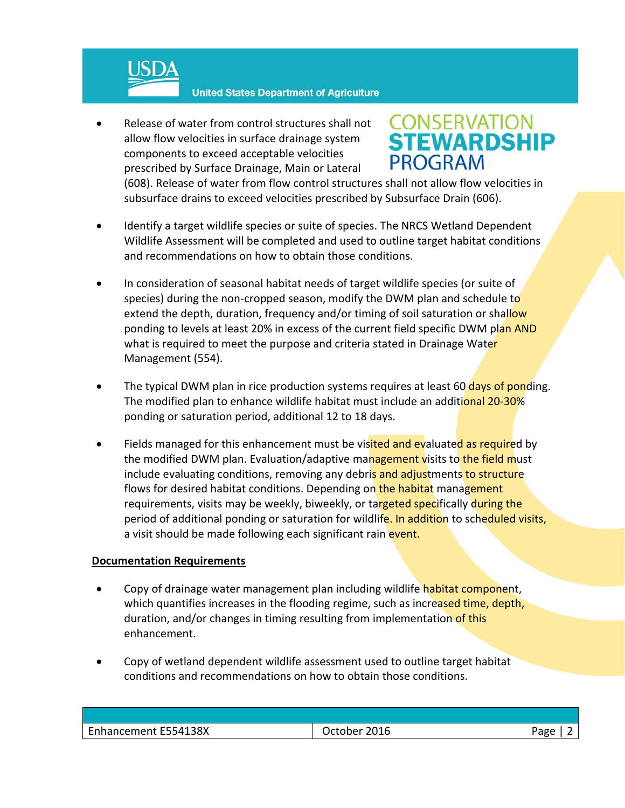

 Release of water from control structures shall not allow flow velocities in surface drainage system components to exceed acceptable velocities prescribed by Surface Drainage, Main or Lateral

# **CONSERVATION<br>STEWARDSHIP PROGRAM**

(608). Release of water from flow control structures shall not allow flow velocities in subsurface drains to exceed velocities prescribed by Subsurface Drain (606).

- Identify a target wildlife species or suite of species. The NRCS Wetland Dependent Wildlife Assessment will be completed and used to outline target habitat conditions and recommendations on how to obtain those conditions.
- In consideration of seasonal habitat needs of target wildlife species (or suite of species) during the non-cropped season, modify the DWM plan and schedule to extend the depth, duration, frequency and/or timing of soil saturation or shallow ponding to levels at least 20% in excess of the current field specific DWM plan AND what is required to meet the purpose and criteria stated in Drainage Water Management (554).
- The typical DWM plan in rice production systems requires at least 60 days of ponding. The modified plan to enhance wildlife habitat must include an additional 20-30% ponding or saturation period, additional 12 to 18 days.
- Fields managed for this enhancement must be visited and evaluated as required by the modified DWM plan. Evaluation/adaptive management visits to the field must include evaluating conditions, removing any debris and adjustments to structure flows for desired habitat conditions. Depending on the habitat management requirements, visits may be weekly, biweekly, or targeted specifically during the period of additional ponding or saturation for wildlife. In addition to scheduled visits, a visit should be made following each significant rain event.

#### **Documentation Requirements**

- Copy of drainage water management plan including wildlife habitat component, which quantifies increases in the flooding regime, such as increased time, depth, duration, and/or changes in timing resulting from implementation of this enhancement.
- Copy of wetland dependent wildlife assessment used to outline target habitat conditions and recommendations on how to obtain those conditions.

| Enhancement E554138X<br>2016<br>ctober .<br>.) nr |  |  |
|---------------------------------------------------|--|--|
|                                                   |  |  |